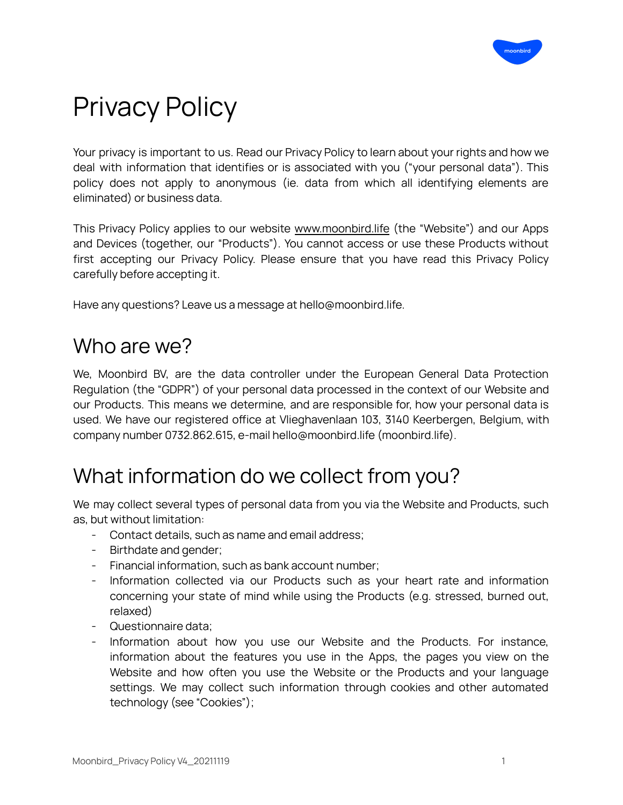

# Privacy Policy

Your privacy is important to us. Read our Privacy Policy to learn about your rights and how we deal with information that identifies or is associated with you ("your personal data"). This policy does not apply to anonymous (ie. data from which all identifying elements are eliminated) or business data.

This Privacy Policy applies to our website [www.moonbird.life](http://www.moonbird.life) (the "Website") and our Apps and Devices (together, our "Products"). You cannot access or use these Products without first accepting our Privacy Policy. Please ensure that you have read this Privacy Policy carefully before accepting it.

Have any questions? Leave us a message at hello@moonbird.life.

### Who are we?

We, Moonbird BV, are the data controller under the European General Data Protection Regulation (the "GDPR") of your personal data processed in the context of our Website and our Products. This means we determine, and are responsible for, how your personal data is used. We have our registered office at Vlieghavenlaan 103, 3140 Keerbergen, Belgium, with company number 0732.862.615, e-mail hello@moonbird.life (moonbird.life).

## What information do we collect from you?

We may collect several types of personal data from you via the Website and Products, such as, but without limitation:

- Contact details, such as name and email address;
- Birthdate and gender;
- Financial information, such as bank account number;
- Information collected via our Products such as your heart rate and information concerning your state of mind while using the Products (e.g. stressed, burned out, relaxed)
- Questionnaire data;
- Information about how you use our Website and the Products. For instance, information about the features you use in the Apps, the pages you view on the Website and how often you use the Website or the Products and your language settings. We may collect such information through cookies and other automated technology (see "Cookies");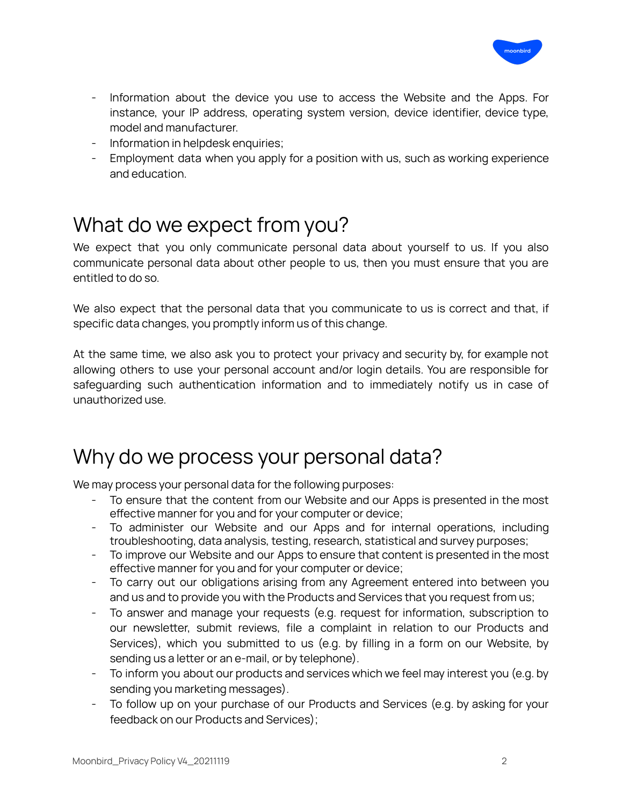

- Information about the device you use to access the Website and the Apps. For instance, your IP address, operating system version, device identifier, device type, model and manufacturer.
- Information in helpdesk enquiries;
- Employment data when you apply for a position with us, such as working experience and education.

## What do we expect from you?

We expect that you only communicate personal data about yourself to us. If you also communicate personal data about other people to us, then you must ensure that you are entitled to do so.

We also expect that the personal data that you communicate to us is correct and that, if specific data changes, you promptly inform us of this change.

At the same time, we also ask you to protect your privacy and security by, for example not allowing others to use your personal account and/or login details. You are responsible for safeguarding such authentication information and to immediately notify us in case of unauthorized use.

### Why do we process your personal data?

We may process your personal data for the following purposes:

- To ensure that the content from our Website and our Apps is presented in the most effective manner for you and for your computer or device;
- To administer our Website and our Apps and for internal operations, including troubleshooting, data analysis, testing, research, statistical and survey purposes;
- To improve our Website and our Apps to ensure that content is presented in the most effective manner for you and for your computer or device;
- To carry out our obligations arising from any Agreement entered into between you and us and to provide you with the Products and Services that you request from us;
- To answer and manage your requests (e.g. request for information, subscription to our newsletter, submit reviews, file a complaint in relation to our Products and Services), which you submitted to us (e.g. by filling in a form on our Website, by sending us a letter or an e-mail, or by telephone).
- To inform you about our products and services which we feel may interest you (e.g. by sending you marketing messages).
- To follow up on your purchase of our Products and Services (e.g. by asking for your feedback on our Products and Services);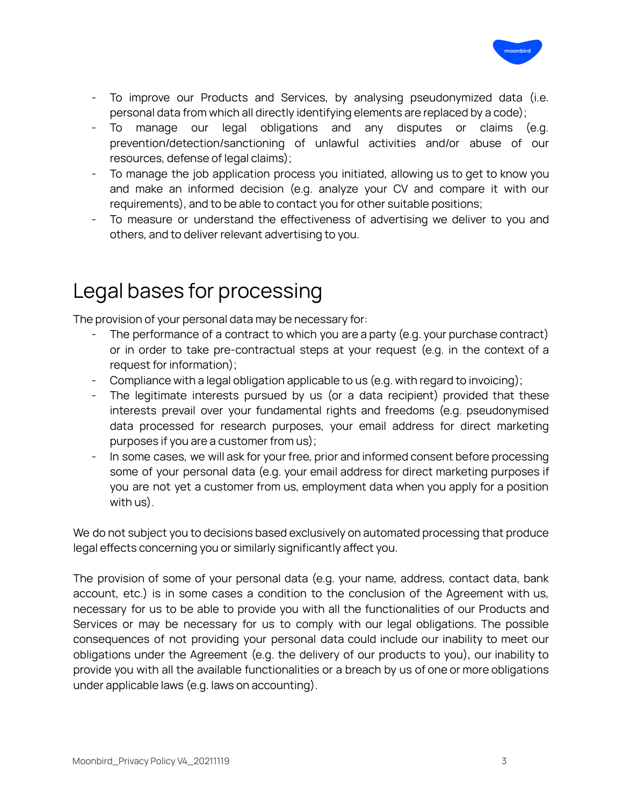

- To improve our Products and Services, by analysing pseudonymized data (i.e. personal data from which all directly identifying elements are replaced by a code);
- To manage our legal obligations and any disputes or claims (e.g. prevention/detection/sanctioning of unlawful activities and/or abuse of our resources, defense of legal claims);
- To manage the job application process you initiated, allowing us to get to know you and make an informed decision (e.g. analyze your CV and compare it with our requirements), and to be able to contact you for other suitable positions;
- To measure or understand the effectiveness of advertising we deliver to you and others, and to deliver relevant advertising to you.

# Legal bases for processing

The provision of your personal data may be necessary for:

- The performance of a contract to which you are a party (e.g. your purchase contract) or in order to take pre-contractual steps at your request (e.g. in the context of a request for information);
- Compliance with a legal obligation applicable to us (e.g. with regard to invoicing);
- The legitimate interests pursued by us (or a data recipient) provided that these interests prevail over your fundamental rights and freedoms (e.g. pseudonymised data processed for research purposes, your email address for direct marketing purposes if you are a customer from us);
- In some cases, we will ask for your free, prior and informed consent before processing some of your personal data (e.g. your email address for direct marketing purposes if you are not yet a customer from us, employment data when you apply for a position with us).

We do not subject you to decisions based exclusively on automated processing that produce legal effects concerning you or similarly significantly affect you.

The provision of some of your personal data (e.g. your name, address, contact data, bank account, etc.) is in some cases a condition to the conclusion of the Agreement with us, necessary for us to be able to provide you with all the functionalities of our Products and Services or may be necessary for us to comply with our legal obligations. The possible consequences of not providing your personal data could include our inability to meet our obligations under the Agreement (e.g. the delivery of our products to you), our inability to provide you with all the available functionalities or a breach by us of one or more obligations under applicable laws (e.g. laws on accounting).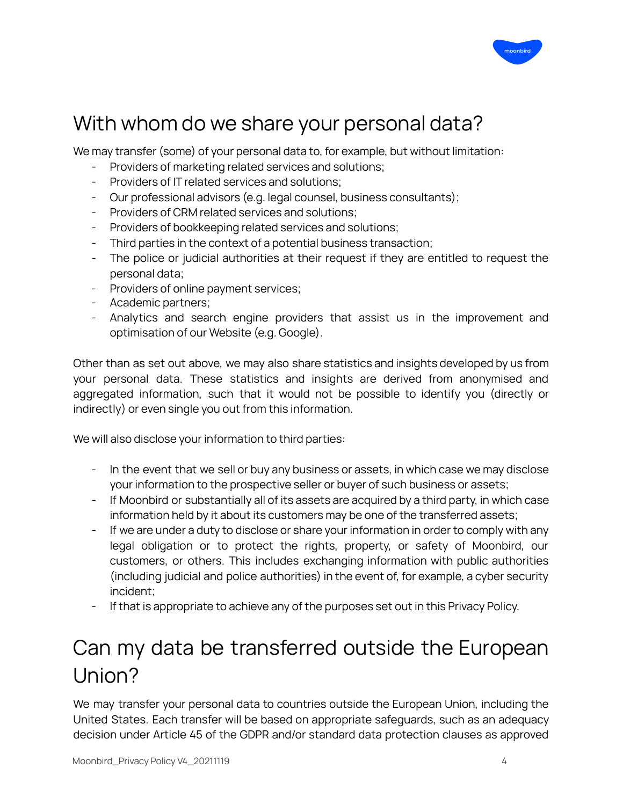

## With whom do we share your personal data?

We may transfer (some) of your personal data to, for example, but without limitation:

- Providers of marketing related services and solutions;
- Providers of IT related services and solutions;
- Our professional advisors (e.g. legal counsel, business consultants);
- Providers of CRM related services and solutions;
- Providers of bookkeeping related services and solutions;
- Third parties in the context of a potential business transaction;
- The police or judicial authorities at their request if they are entitled to request the personal data;
- Providers of online payment services;
- Academic partners;
- Analytics and search engine providers that assist us in the improvement and optimisation of our Website (e.g. Google).

Other than as set out above, we may also share statistics and insights developed by us from your personal data. These statistics and insights are derived from anonymised and aggregated information, such that it would not be possible to identify you (directly or indirectly) or even single you out from this information.

We will also disclose your information to third parties:

- In the event that we sell or buy any business or assets, in which case we may disclose your information to the prospective seller or buyer of such business or assets;
- If Moonbird or substantially all of its assets are acquired by a third party, in which case information held by it about its customers may be one of the transferred assets;
- If we are under a duty to disclose or share your information in order to comply with any legal obligation or to protect the rights, property, or safety of Moonbird, our customers, or others. This includes exchanging information with public authorities (including judicial and police authorities) in the event of, for example, a cyber security incident;
- If that is appropriate to achieve any of the purposes set out in this Privacy Policy.

# Can my data be transferred outside the European Union?

We may transfer your personal data to countries outside the European Union, including the United States. Each transfer will be based on appropriate safeguards, such as an adequacy decision under Article 45 of the GDPR and/or standard data protection clauses as approved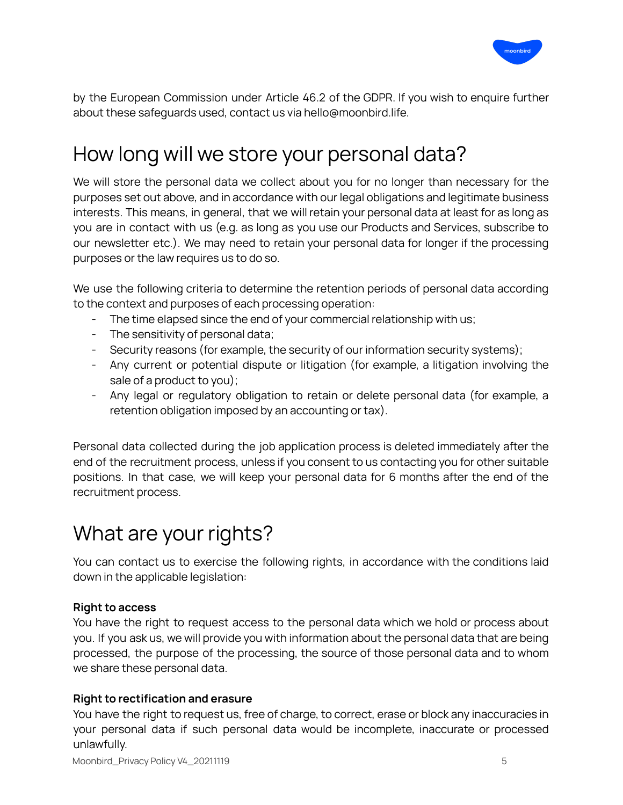

by the European Commission under Article 46.2 of the GDPR. If you wish to enquire further about these safeguards used, contact us via hello@moonbird.life.

# How long will we store your personal data?

We will store the personal data we collect about you for no longer than necessary for the purposes set out above, and in accordance with our legal obligations and legitimate business interests. This means, in general, that we will retain your personal data at least for as long as you are in contact with us (e.g. as long as you use our Products and Services, subscribe to our newsletter etc.). We may need to retain your personal data for longer if the processing purposes or the law requires us to do so.

We use the following criteria to determine the retention periods of personal data according to the context and purposes of each processing operation:

- The time elapsed since the end of your commercial relationship with us;
- The sensitivity of personal data;
- Security reasons (for example, the security of our information security systems);
- Any current or potential dispute or litigation (for example, a litigation involving the sale of a product to you);
- Any legal or regulatory obligation to retain or delete personal data (for example, a retention obligation imposed by an accounting or tax).

Personal data collected during the job application process is deleted immediately after the end of the recruitment process, unless if you consent to us contacting you for other suitable positions. In that case, we will keep your personal data for 6 months after the end of the recruitment process.

## What are your rights?

You can contact us to exercise the following rights, in accordance with the conditions laid down in the applicable legislation:

#### **Right to access**

You have the right to request access to the personal data which we hold or process about you. If you ask us, we will provide you with information about the personal data that are being processed, the purpose of the processing, the source of those personal data and to whom we share these personal data.

#### **Right to rectification and erasure**

You have the right to request us, free of charge, to correct, erase or block any inaccuracies in your personal data if such personal data would be incomplete, inaccurate or processed unlawfully.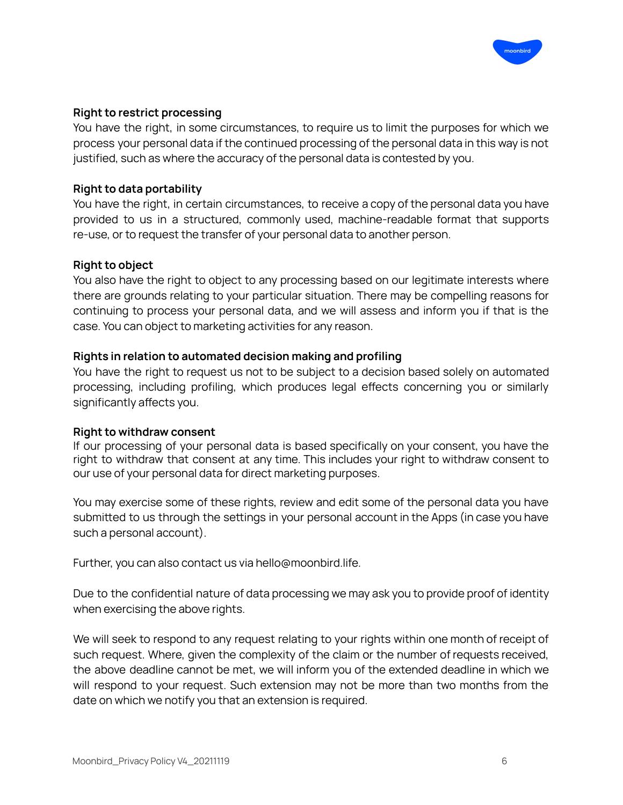

#### **Right to restrict processing**

You have the right, in some circumstances, to require us to limit the purposes for which we process your personal data if the continued processing of the personal data in this way is not justified, such as where the accuracy of the personal data is contested by you.

#### **Right to data portability**

You have the right, in certain circumstances, to receive a copy of the personal data you have provided to us in a structured, commonly used, machine-readable format that supports re-use, or to request the transfer of your personal data to another person.

#### **Right to object**

You also have the right to object to any processing based on our legitimate interests where there are grounds relating to your particular situation. There may be compelling reasons for continuing to process your personal data, and we will assess and inform you if that is the case. You can object to marketing activities for any reason.

#### **Rights in relation to automated decision making and profiling**

You have the right to request us not to be subject to a decision based solely on automated processing, including profiling, which produces legal effects concerning you or similarly significantly affects you.

#### **Right to withdraw consent**

If our processing of your personal data is based specifically on your consent, you have the right to withdraw that consent at any time. This includes your right to withdraw consent to our use of your personal data for direct marketing purposes.

You may exercise some of these rights, review and edit some of the personal data you have submitted to us through the settings in your personal account in the Apps (in case you have such a personal account).

Further, you can also contact us via hello@moonbird.life.

Due to the confidential nature of data processing we may ask you to provide proof of identity when exercising the above rights.

We will seek to respond to any request relating to your rights within one month of receipt of such request. Where, given the complexity of the claim or the number of requests received, the above deadline cannot be met, we will inform you of the extended deadline in which we will respond to your request. Such extension may not be more than two months from the date on which we notify you that an extension is required.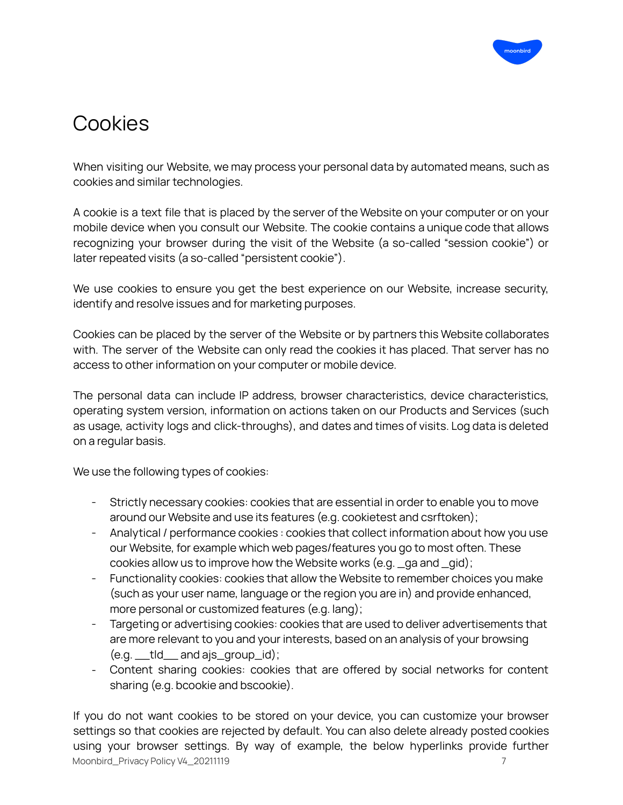

# Cookies

When visiting our Website, we may process your personal data by automated means, such as cookies and similar technologies.

A cookie is a text file that is placed by the server of the Website on your computer or on your mobile device when you consult our Website. The cookie contains a unique code that allows recognizing your browser during the visit of the Website (a so-called "session cookie") or later repeated visits (a so-called "persistent cookie").

We use cookies to ensure you get the best experience on our Website, increase security, identify and resolve issues and for marketing purposes.

Cookies can be placed by the server of the Website or by partners this Website collaborates with. The server of the Website can only read the cookies it has placed. That server has no access to other information on your computer or mobile device.

The personal data can include IP address, browser characteristics, device characteristics, operating system version, information on actions taken on our Products and Services (such as usage, activity logs and click-throughs), and dates and times of visits. Log data is deleted on a regular basis.

We use the following types of cookies:

- Strictly necessary cookies: cookies that are essential in order to enable you to move around our Website and use its features (e.g. cookietest and csrftoken);
- Analytical / performance cookies : cookies that collect information about how you use our Website, for example which web pages/features you go to most often. These cookies allow us to improve how the Website works (e.g. \_ga and \_gid);
- Functionality cookies: cookies that allow the Website to remember choices you make (such as your user name, language or the region you are in) and provide enhanced, more personal or customized features (e.g. lang);
- Targeting or advertising cookies: cookies that are used to deliver advertisements that are more relevant to you and your interests, based on an analysis of your browsing  $(e.g. \_ tld \_ and ajs\_group_id);$
- Content sharing cookies: cookies that are offered by social networks for content sharing (e.g. bcookie and bscookie).

If you do not want cookies to be stored on your device, you can customize your browser settings so that cookies are rejected by default. You can also delete already posted cookies using your browser settings. By way of example, the below hyperlinks provide further Moonbird\_Privacy Policy V4\_20211119 7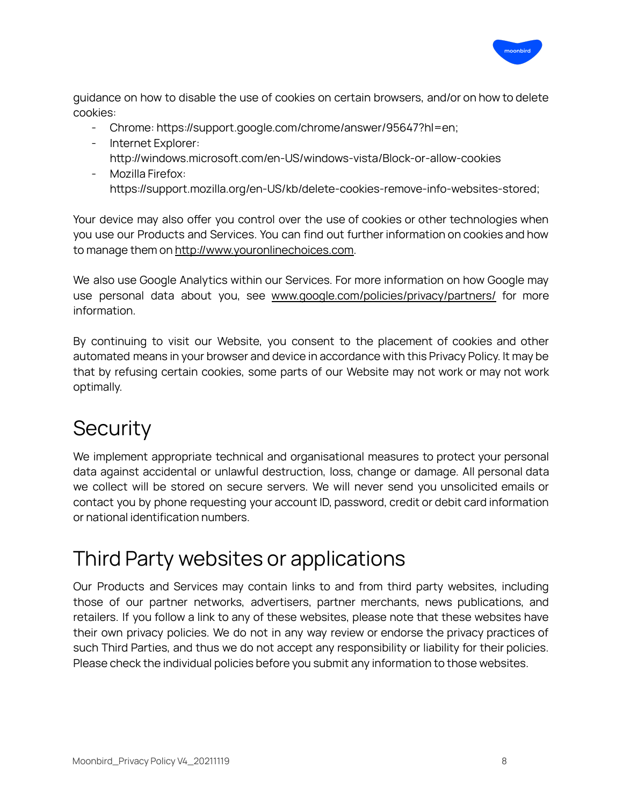

guidance on how to disable the use of cookies on certain browsers, and/or on how to delete cookies:

- Chrome: <https://support.google.com/chrome/answer/95647?hl=en>;
- Internet Explorer:
- <http://windows.microsoft.com/en-US/windows-vista/Block-or-allow-cookies>
- Mozilla Firefox: https://support.mozilla.org/en-US/kb/delete-cookies-remove-info-websites-stored;

Your device may also offer you control over the use of cookies or other technologies when you use our Products and Services. You can find out further information on cookies and how to manage them on [http://www.youronlinechoices.com.](http://www.youronlinechoices.com/)

We also use Google Analytics within our Services. For more information on how Google may use personal data about you, see [www.google.com/policies/privacy/partners/](http://www.google.com/policies/privacy/partners/) for more information.

By continuing to visit our Website, you consent to the placement of cookies and other automated means in your browser and device in accordance with this Privacy Policy. It may be that by refusing certain cookies, some parts of our Website may not work or may not work optimally.

## **Security**

We implement appropriate technical and organisational measures to protect your personal data against accidental or unlawful destruction, loss, change or damage. All personal data we collect will be stored on secure servers. We will never send you unsolicited emails or contact you by phone requesting your account ID, password, credit or debit card information or national identification numbers.

# Third Party websites or applications

Our Products and Services may contain links to and from third party websites, including those of our partner networks, advertisers, partner merchants, news publications, and retailers. If you follow a link to any of these websites, please note that these websites have their own privacy policies. We do not in any way review or endorse the privacy practices of such Third Parties, and thus we do not accept any responsibility or liability for their policies. Please check the individual policies before you submit any information to those websites.